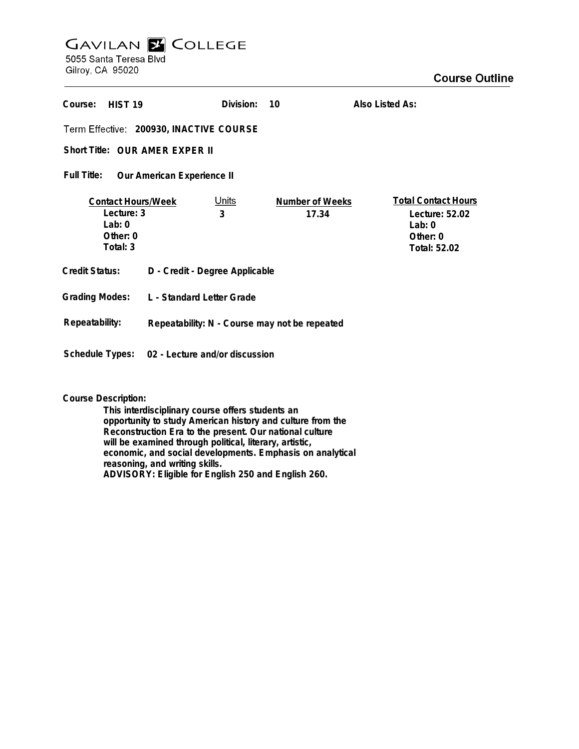## **GAVILAN Z COLLEGE** 5055 Santa Teresa Blvd

Gilroy, CA 95020

| Course:<br>HIST <sub>19</sub>                                               |                                               | Division:         | 10                       | Also Listed As:                                                                      |
|-----------------------------------------------------------------------------|-----------------------------------------------|-------------------|--------------------------|--------------------------------------------------------------------------------------|
| Term Effective: 200930, INACTIVE COURSE                                     |                                               |                   |                          |                                                                                      |
| Short Title: OUR AMER EXPER II                                              |                                               |                   |                          |                                                                                      |
| Full Title:<br>Our American Experience II                                   |                                               |                   |                          |                                                                                      |
| <b>Contact Hours/Week</b><br>Lecture: 3<br>Lab: $0$<br>Other: 0<br>Total: 3 |                                               | <u>Units</u><br>3 | Number of Weeks<br>17.34 | <b>Total Contact Hours</b><br>Lecture: 52.02<br>Lab: $0$<br>Other: 0<br>Total: 52.02 |
| <b>Credit Status:</b>                                                       | D - Credit - Degree Applicable                |                   |                          |                                                                                      |
| <b>Grading Modes:</b>                                                       | L - Standard Letter Grade                     |                   |                          |                                                                                      |
| Repeatability:                                                              | Repeatability: N - Course may not be repeated |                   |                          |                                                                                      |
| Schedule Types:                                                             | 02 - Lecture and/or discussion                |                   |                          |                                                                                      |

**Course Description:**

**This interdisciplinary course offers students an opportunity to study American history and culture from the Reconstruction Era to the present. Our national culture will be examined through political, literary, artistic, economic, and social developments. Emphasis on analytical reasoning, and writing skills. ADVISORY: Eligible for English 250 and English 260.**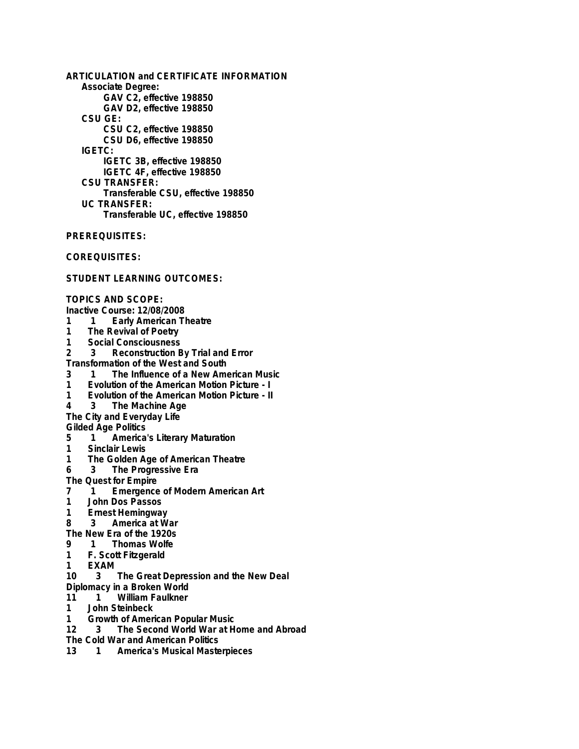**ARTICULATION and CERTIFICATE INFORMATION Associate Degree: GAV C2, effective 198850 GAV D2, effective 198850 CSU GE: CSU C2, effective 198850 CSU D6, effective 198850 IGETC: IGETC 3B, effective 198850 IGETC 4F, effective 198850 CSU TRANSFER: Transferable CSU, effective 198850 UC TRANSFER: Transferable UC, effective 198850**

**PREREQUISITES:**

**COREQUISITES:**

**STUDENT LEARNING OUTCOMES:**

**TOPICS AND SCOPE:**

- **Inactive Course: 12/08/2008**
- **1 1 Early American Theatre**
- **1 The Revival of Poetry**
- **1 Social Consciousness**
- **2 3 Reconstruction By Trial and Error**

**Transformation of the West and South**

- **3 1 The Influence of a New American Music**
- **1 Evolution of the American Motion Picture I**
- **1 Evolution of the American Motion Picture II**
- **4 3 The Machine Age**
- **The City and Everyday Life**

**Gilded Age Politics**

- **5 1 America's Literary Maturation**
- **1 Sinclair Lewis**
- **1 The Golden Age of American Theatre**
- **6 3 The Progressive Era**

**The Quest for Empire**<br> **7** 1 **Fmergence** 

- **7 1 Emergence of Modern American Art**
- **1 John Dos Passos**
- **1 Ernest Hemingway**
- **8 3 America at War**
- **The New Era of the 1920s**
- **9 1 Thomas Wolfe**
- **1 F. Scott Fitzgerald**
- **1 EXAM**
- **10 3 The Great Depression and the New Deal**
- **Diplomacy in a Broken World**<br>11 1 William Faulkner
- 11 1 William Faulkner<br>1 John Steinbeck
- **1 John Steinbeck**
- **1 Growth of American Popular Music**
- **12 3 The Second World War at Home and Abroad**
- **The Cold War and American Politics**
- **13 1 America's Musical Masterpieces**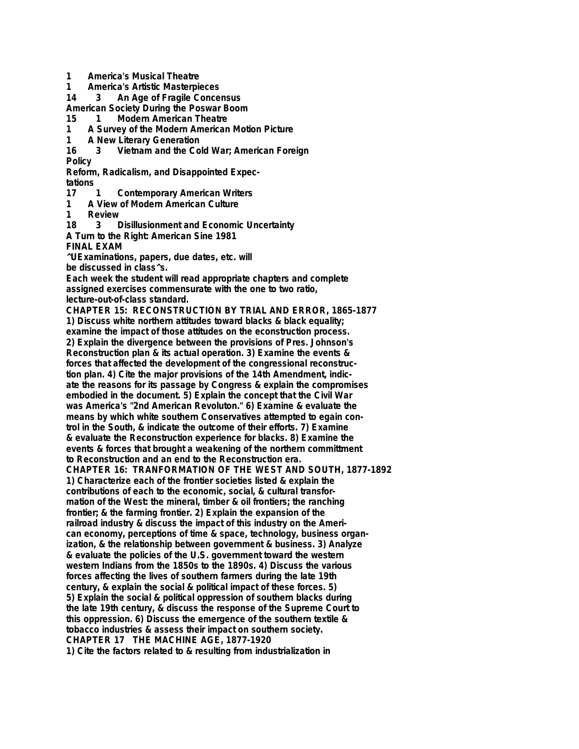- **1 America's Musical Theatre**
- **1 America's Artistic Masterpieces**
- **14 3 An Age of Fragile Concensus**
- **American Society During the Poswar Boom**
- **15 1 Modern American Theatre**
- **1 A Survey of the Modern American Motion Picture**
- **1 A New Literary Generation**
- **16 3 Vietnam and the Cold War; American Foreign Policy**
- **Reform, Radicalism, and Disappointed Expec-**
- **tations 17 1 Contemporary American Writers**
- **1 A View of Modern American Culture**
- **1 Review**
- **18 3 Disillusionment and Economic Uncertainty**
- **A Turn to the Right: American Sine 1981**
- **FINAL EXAM**

**^UExaminations, papers, due dates, etc. will be discussed in class^s.**

**Each week the student will read appropriate chapters and complete assigned exercises commensurate with the one to two ratio, lecture-out-of-class standard.**

**CHAPTER 15: RECONSTRUCTION BY TRIAL AND ERROR, 1865-1877 1) Discuss white northern attitudes toward blacks & black equality; examine the impact of those attitudes on the econstruction process. 2) Explain the divergence between the provisions of Pres. Johnson's Reconstruction plan & its actual operation. 3) Examine the events & forces that affected the development of the congressional reconstruction plan. 4) Cite the major provisions of the 14th Amendment, indicate the reasons for its passage by Congress & explain the compromises embodied in the document. 5) Explain the concept that the Civil War was America's "2nd American Revoluton." 6) Examine & evaluate the means by which white southern Conservatives attempted to egain control in the South, & indicate the outcome of their efforts. 7) Examine & evaluate the Reconstruction experience for blacks. 8) Examine the events & forces that brought a weakening of the northern committment to Reconstruction and an end to the Reconstruction era. CHAPTER 16: TRANFORMATION OF THE WEST AND SOUTH, 1877-1892 1) Characterize each of the frontier societies listed & explain the contributions of each to the economic, social, & cultural transformation of the West: the mineral, timber & oil frontiers; the ranching frontier; & the farming frontier. 2) Explain the expansion of the railroad industry & discuss the impact of this industry on the American economy, perceptions of time & space, technology, business organization, & the relationship between government & business. 3) Analyze & evaluate the policies of the U.S. government toward the western western Indians from the 1850s to the 1890s. 4) Discuss the various forces affecting the lives of southern farmers during the late 19th century, & explain the social & political impact of these forces. 5) 5) Explain the social & political oppression of southern blacks during the late 19th century, & discuss the response of the Supreme Court to this oppression. 6) Discuss the emergence of the southern textile & tobacco industries & assess their impact on southern society. CHAPTER 17 THE MACHINE AGE, 1877-1920 1) Cite the factors related to & resulting from industrialization in**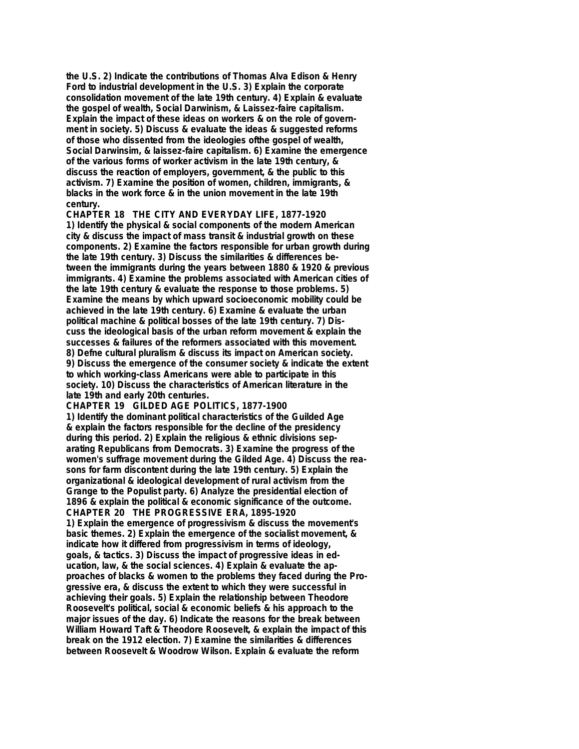**the U.S. 2) Indicate the contributions of Thomas Alva Edison & Henry Ford to industrial development in the U.S. 3) Explain the corporate consolidation movement of the late 19th century. 4) Explain & evaluate the gospel of wealth, Social Darwinism, & Laissez-faire capitalism. Explain the impact of these ideas on workers & on the role of government in society. 5) Discuss & evaluate the ideas & suggested reforms of those who dissented from the ideologies ofthe gospel of wealth, Social Darwinsim, & laissez-faire capitalism. 6) Examine the emergence of the various forms of worker activism in the late 19th century, & discuss the reaction of employers, government, & the public to this activism. 7) Examine the position of women, children, immigrants, & blacks in the work force & in the union movement in the late 19th century.**

**CHAPTER 18 THE CITY AND EVERYDAY LIFE, 1877-1920 1) Identify the physical & social components of the modern American city & discuss the impact of mass transit & industrial growth on these components. 2) Examine the factors responsible for urban growth during the late 19th century. 3) Discuss the similarities & differences between the immigrants during the years between 1880 & 1920 & previous immigrants. 4) Examine the problems associated with American cities of the late 19th century & evaluate the response to those problems. 5) Examine the means by which upward socioeconomic mobility could be achieved in the late 19th century. 6) Examine & evaluate the urban political machine & political bosses of the late 19th century. 7) Discuss the ideological basis of the urban reform movement & explain the successes & failures of the reformers associated with this movement. 8) Defne cultural pluralism & discuss its impact on American society. 9) Discuss the emergence of the consumer society & indicate the extent to which working-class Americans were able to participate in this society. 10) Discuss the characteristics of American literature in the late 19th and early 20th centuries.**

**CHAPTER 19 GILDED AGE POLITICS, 1877-1900 1) Identify the dominant political characteristics of the Guilded Age & explain the factors responsible for the decline of the presidency during this period. 2) Explain the religious & ethnic divisions separating Republicans from Democrats. 3) Examine the progress of the women's suffrage movement during the Gilded Age. 4) Discuss the reasons for farm discontent during the late 19th century. 5) Explain the organizational & ideological development of rural activism from the Grange to the Populist party. 6) Analyze the presidential election of 1896 & explain the political & economic significance of the outcome. CHAPTER 20 THE PROGRESSIVE ERA, 1895-1920 1) Explain the emergence of progressivism & discuss the movement's basic themes. 2) Explain the emergence of the socialist movement, & indicate how it differed from progressivism in terms of ideology, goals, & tactics. 3) Discuss the impact of progressive ideas in education, law, & the social sciences. 4) Explain & evaluate the approaches of blacks & women to the problems they faced during the Progressive era, & discuss the extent to which they were successful in achieving their goals. 5) Explain the relationship between Theodore Roosevelt's political, social & economic beliefs & his approach to the major issues of the day. 6) Indicate the reasons for the break between William Howard Taft & Theodore Roosevelt, & explain the impact of this break on the 1912 election. 7) Examine the similarities & differences between Roosevelt & Woodrow Wilson. Explain & evaluate the reform**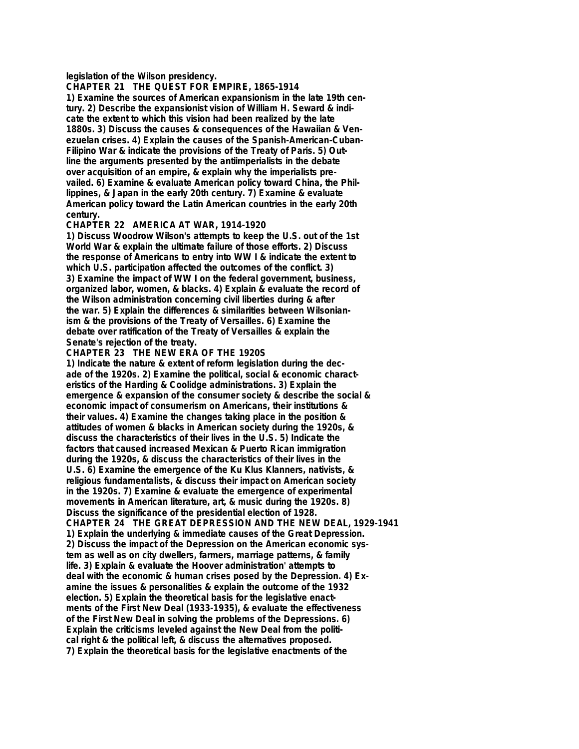**legislation of the Wilson presidency.**

**CHAPTER 21 THE QUEST FOR EMPIRE, 1865-1914**

**1) Examine the sources of American expansionism in the late 19th century. 2) Describe the expansionist vision of William H. Seward & indicate the extent to which this vision had been realized by the late 1880s. 3) Discuss the causes & consequences of the Hawaiian & Venezuelan crises. 4) Explain the causes of the Spanish-American-Cuban-Filipino War & indicate the provisions of the Treaty of Paris. 5) Outline the arguments presented by the antiimperialists in the debate over acquisition of an empire, & explain why the imperialists prevailed. 6) Examine & evaluate American policy toward China, the Phillippines, & Japan in the early 20th century. 7) Examine & evaluate American policy toward the Latin American countries in the early 20th century.**

## **CHAPTER 22 AMERICA AT WAR, 1914-1920**

**1) Discuss Woodrow Wilson's attempts to keep the U.S. out of the 1st World War & explain the ultimate failure of those efforts. 2) Discuss the response of Americans to entry into WW I & indicate the extent to which U.S. participation affected the outcomes of the conflict. 3) 3) Examine the impact of WW I on the federal government, business, organized labor, women, & blacks. 4) Explain & evaluate the record of the Wilson administration concerning civil liberties during & after the war. 5) Explain the differences & similarities between Wilsonianism & the provisions of the Treaty of Versailles. 6) Examine the debate over ratification of the Treaty of Versailles & explain the Senate's rejection of the treaty.**

## **CHAPTER 23 THE NEW ERA OF THE 1920S**

**1) Indicate the nature & extent of reform legislation during the decade of the 1920s. 2) Examine the political, social & economic characteristics of the Harding & Coolidge administrations. 3) Explain the emergence & expansion of the consumer society & describe the social & economic impact of consumerism on Americans, their institutions & their values. 4) Examine the changes taking place in the position & attitudes of women & blacks in American society during the 1920s, & discuss the characteristics of their lives in the U.S. 5) Indicate the factors that caused increased Mexican & Puerto Rican immigration during the 1920s, & discuss the characteristics of their lives in the U.S. 6) Examine the emergence of the Ku Klus Klanners, nativists, & religious fundamentalists, & discuss their impact on American society in the 1920s. 7) Examine & evaluate the emergence of experimental movements in American literature, art, & music during the 1920s. 8) Discuss the significance of the presidential election of 1928. CHAPTER 24 THE GREAT DEPRESSION AND THE NEW DEAL, 1929-1941 1) Explain the underlying & immediate causes of the Great Depression. 2) Discuss the impact of the Depression on the American economic system as well as on city dwellers, farmers, marriage patterns, & family life. 3) Explain & evaluate the Hoover administration' attempts to deal with the economic & human crises posed by the Depression. 4) Examine the issues & personalities & explain the outcome of the 1932 election. 5) Explain the theoretical basis for the legislative enactments of the First New Deal (1933-1935), & evaluate the effectiveness of the First New Deal in solving the problems of the Depressions. 6) Explain the criticisms leveled against the New Deal from the political right & the political left, & discuss the alternatives proposed. 7) Explain the theoretical basis for the legislative enactments of the**